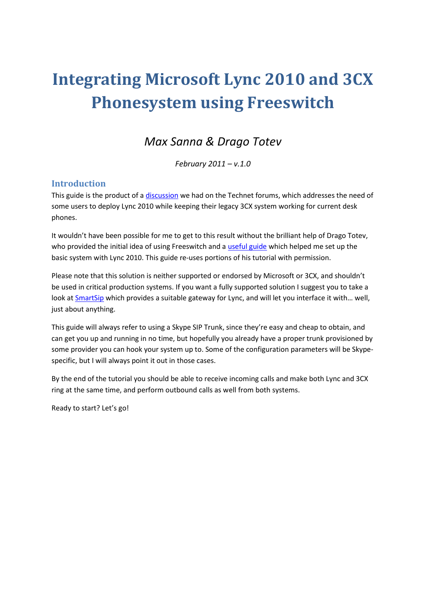# **Integrating Microsoft Lync 2010 and 3CX Phonesystem using Freeswitch**

## *Max Sanna & Drago Totev*

*February 2011 – v.1.0*

### **Introduction**

This guide is the product of [a discussion](http://social.technet.microsoft.com/Forums/en-US/ocsvoice/thread/c1b4e0a1-8a60-4d63-a910-d8006c21b43a) we had on the Technet forums, which addresses the need of some users to deploy Lync 2010 while keeping their legacy 3CX system working for current desk phones.

It wouldn't have been possible for me to get to this result without the brilliant help of Drago Totev, who provided the initial idea of using Freeswitch and a [useful guide](http://www.gmc.cc.ga.us/drop/FreeSwitch_Lync_integration_guide.pdf) which helped me set up the basic system with Lync 2010. This guide re-uses portions of his tutorial with permission.

Please note that this solution is neither supported or endorsed by Microsoft or 3CX, and shouldn't be used in critical production systems. If you want a fully supported solution I suggest you to take a look at [SmartSip](http://www.net.com/Pages/Solution.aspx?pgid=229) which provides a suitable gateway for Lync, and will let you interface it with… well, just about anything.

This guide will always refer to using a Skype SIP Trunk, since they're easy and cheap to obtain, and can get you up and running in no time, but hopefully you already have a proper trunk provisioned by some provider you can hook your system up to. Some of the configuration parameters will be Skypespecific, but I will always point it out in those cases.

By the end of the tutorial you should be able to receive incoming calls and make both Lync and 3CX ring at the same time, and perform outbound calls as well from both systems.

Ready to start? Let's go!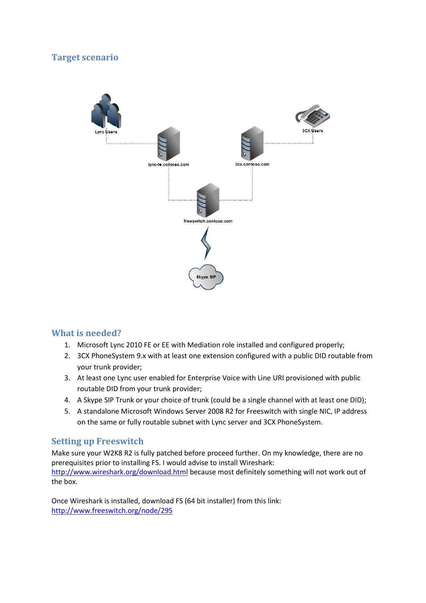## **Target scenario**



#### **What is needed?**

- 1. Microsoft Lync 2010 FE or EE with Mediation role installed and configured properly;
- 2. 3CX PhoneSystem 9.x with at least one extension configured with a public DID routable from your trunk provider;
- 3. At least one Lync user enabled for Enterprise Voice with Line URI provisioned with public routable DID from your trunk provider;
- 4. A Skype SIP Trunk or your choice of trunk (could be a single channel with at least one DID);
- 5. A standalone Microsoft Windows Server 2008 R2 for Freeswitch with single NIC, IP address on the same or fully routable subnet with Lync server and 3CX PhoneSystem.

#### **Setting up Freeswitch**

Make sure your W2K8 R2 is fully patched before proceed further. On my knowledge, there are no prerequisites prior to installing FS. I would advise to install Wireshark: <http://www.wireshark.org/download.html> because most definitely something will not work out of the box.

Once Wireshark is installed, download FS (64 bit installer) from this link: <http://www.freeswitch.org/node/295>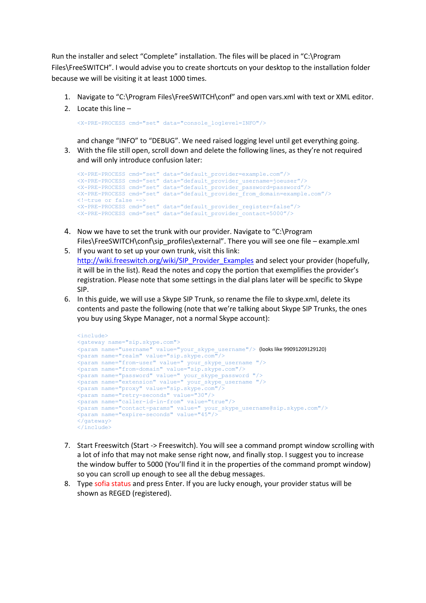Run the installer and select "Complete" installation. The files will be placed in "C:\Program Files\FreeSWITCH". I would advise you to create shortcuts on your desktop to the installation folder because we will be visiting it at least 1000 times.

- 1. Navigate to "C:\Program Files\FreeSWITCH\conf" and open vars.xml with text or XML editor.
- 2. Locate this line –

<X-PRE-PROCESS cmd="set" data="console\_loglevel=INFO"/>

and change "INFO" to "DEBUG". We need raised logging level until get everything going. 3. With the file still open, scroll down and delete the following lines, as they're not required and will only introduce confusion later:

```
<X-PRE-PROCESS cmd="set" data="default_provider=example.com"/>
<X-PRE-PROCESS cmd="set" data="default_provider_username=joeuser"/>
<X-PRE-PROCESS cmd="set" data="default_provider_password=password"/>
<X-PRE-PROCESS cmd="set" data="default_provider_from_domain=example.com"/>
\langle!-true or false -->
<X-PRE-PROCESS cmd="set" data="default_provider_register=false"/>
<X-PRE-PROCESS cmd="set" data="default_provider_contact=5000"/>
```
- 4. Now we have to set the trunk with our provider. Navigate to "C:\Program Files\FreeSWITCH\conf\sip\_profiles\external". There you will see one file – example.xml
- 5. If you want to set up your own trunk, visit this link: [http://wiki.freeswitch.org/wiki/SIP\\_Provider\\_Examples](http://wiki.freeswitch.org/wiki/SIP_Provider_Examples) and select your provider (hopefully, it will be in the list). Read the notes and copy the portion that exemplifies the provider's registration. Please note that some settings in the dial plans later will be specific to Skype SIP.
- 6. In this guide, we will use a Skype SIP Trunk, so rename the file to skype.xml, delete its contents and paste the following (note that we're talking about Skype SIP Trunks, the ones you buy using Skype Manager, not a normal Skype account):

```
<include>
<gateway name="sip.skype.com">
<param name="username" value="your_skype_username"/> (looks like 99091209129120)
<param name="realm" value="sip.skype.com"/>
<param name="from-user" value=" your_skype_username "/>
<param name="from-domain" value="sip.skype.com"/>
<param name="password" value=" your_skype_password "/>
<param name="extension" value=" your_skype_username "/>
<param name="proxy" value="sip.skype.com"/>
<param name="retry-seconds" value="30"/>
<param name="caller-id-in-from" value="true"/>
<param name="contact-params" value=" your_skype_username@sip.skype.com"/>
<param name="expire-seconds" value="45"/>
\langle/gateway>
</include>
```
- 7. Start Freeswitch (Start -> Freeswitch). You will see a command prompt window scrolling with a lot of info that may not make sense right now, and finally stop. I suggest you to increase the window buffer to 5000 (You'll find it in the properties of the command prompt window) so you can scroll up enough to see all the debug messages.
- 8. Type sofia status and press Enter. If you are lucky enough, your provider status will be shown as REGED (registered).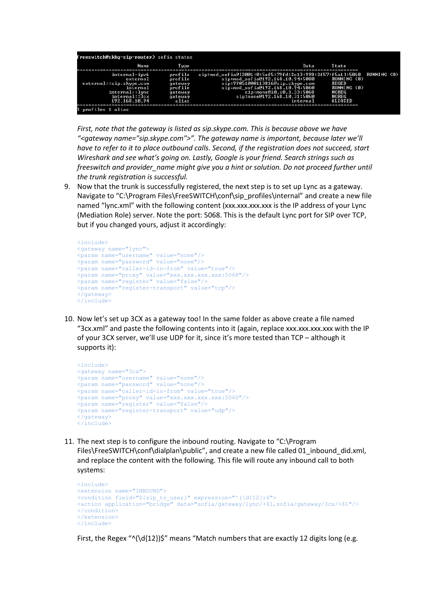|                                     | Name | T vpe              | Data                                                                                         | State                        |                    |  |
|-------------------------------------|------|--------------------|----------------------------------------------------------------------------------------------|------------------------------|--------------------|--|
| internal-ipv6<br>external           |      | profile<br>profile | sip:mod_sofia@[2001:0:5ef5:79fd:2c13:998:3f57:f5a1]:5060<br>sip:mod_sofia@192.168.10.94:5080 | <b>RUNNING (Ø)</b>           | <b>RUNNING (0)</b> |  |
| external::sip.skype.com<br>internal |      | gateway<br>profile | sip:99051000113816@sip.skype.com<br>sip:mod_sofia@192.168.10.94:5060                         | REGED<br>RUNNING (A)         |                    |  |
| internal::1ync<br>internal::3cx     |      | gateway<br>gateway | sip:none@10.10.3.33:5068<br>sip:none@192.168.10.31:5060                                      | <b>NOREG</b><br><b>NOREG</b> |                    |  |
| 192.168.10.94                       |      | alias              | internal                                                                                     | ALIASED                      |                    |  |

*First, note that the gateway is listed as sip.skype.com. This is because above we have "<gateway name="sip.skype.com">". The gateway name is important, because later we'll have to refer to it to place outbound calls. Second, if the registration does not succeed, start Wireshark and see what's going on. Lastly, Google is your friend. Search strings such as freeswitch and provider\_name might give you a hint or solution. Do not proceed further until the trunk registration is successful.*

9. Now that the trunk is successfully registered, the next step is to set up Lync as a gateway. Navigate to "C:\Program Files\FreeSWITCH\conf\sip\_profiles\internal" and create a new file named "lync.xml" with the following content (xxx.xxx.xxx.xxx is the IP address of your Lync (Mediation Role) server. Note the port: 5068. This is the default Lync port for SIP over TCP, but if you changed yours, adjust it accordingly:

```
<include>
<gateway name="lync">
<param name="username" value="none"/>
<param name="password" value="none"/>
<param name="caller-id-in-from" value="true"/>
<param name="proxy" value="xxx.xxx.xxx.xxx:5068"/>
<param name="register" value="false"/>
<param name="register-transport" value="tcp"/>
</gateway>
</include>
```
10. Now let's set up 3CX as a gateway too! In the same folder as above create a file named "3cx.xml" and paste the following contents into it (again, replace xxx.xxx.xxx.xxx with the IP of your 3CX server, we'll use UDP for it, since it's more tested than TCP – although it supports it):

```
<include>
<gateway name="3cx">
<param name="username" value="none"/>
<param name="password" value="none"/>
<param name="caller-id-in-from" value="true"/>
<param name="proxy" value="xxx.xxx.xxx.xxx:5060"/>
<param name="register" value="false"/>
<param name="register-transport" value="udp"/>
\langleateway>
</include>
```
11. The next step is to configure the inbound routing. Navigate to "C:\Program Files\FreeSWITCH\conf\dialplan\public", and create a new file called 01\_inbound\_did.xml, and replace the content with the following. This file will route any inbound call to both systems:

```
<include>
<extension name="INBOUND">
<condition field="${sip_to_user}" expression="^(\d{12})$">
<action application="bridge" data="sofia/gateway/lync/+$1,sofia/gateway/3cx/+$1"/>
</condition>
</extension>
</include>
```
First, the Regex " $\binom{d}{12}$ )\$" means "Match numbers that are exactly 12 digits long (e.g.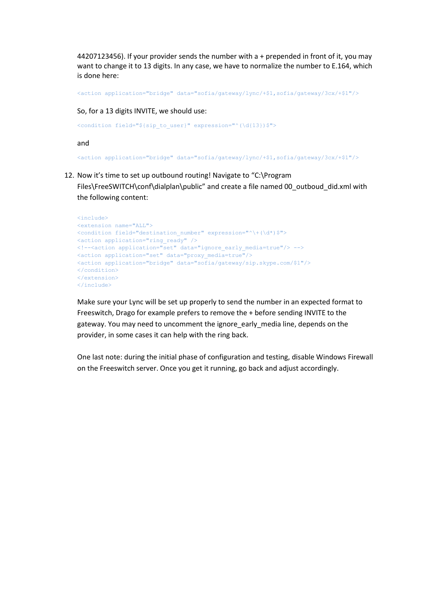44207123456). If your provider sends the number with a + prepended in front of it, you may want to change it to 13 digits. In any case, we have to normalize the number to E.164, which is done here:

<action application="bridge" data="sofia/gateway/lync/+\$1,sofia/gateway/3cx/+\$1"/>

So, for a 13 digits INVITE, we should use:

<condition field="\${sip\_to\_user}" expression="^(\d{13})\$">

and

<action application="bridge" data="sofia/gateway/lync/+\$1,sofia/gateway/3cx/+\$1"/>

12. Now it's time to set up outbound routing! Navigate to "C:\Program Files\FreeSWITCH\conf\dialplan\public" and create a file named 00\_outboud\_did.xml with the following content:

```
<include>
<extension name="ALL">
<condition field="destination_number" expression="^\+(\d*)$">
<action application="ring_ready" />
<!--<action application="set" data="ignore_early_media=true"/> -->
<action application="set" data="proxy_media=true"/>
<action application="bridge" data="sofia/gateway/sip.skype.com/$1"/>
</condition>
</extension>
</include>
```
Make sure your Lync will be set up properly to send the number in an expected format to Freeswitch, Drago for example prefers to remove the + before sending INVITE to the gateway. You may need to uncomment the ignore\_early\_media line, depends on the provider, in some cases it can help with the ring back.

One last note: during the initial phase of configuration and testing, disable Windows Firewall on the Freeswitch server. Once you get it running, go back and adjust accordingly.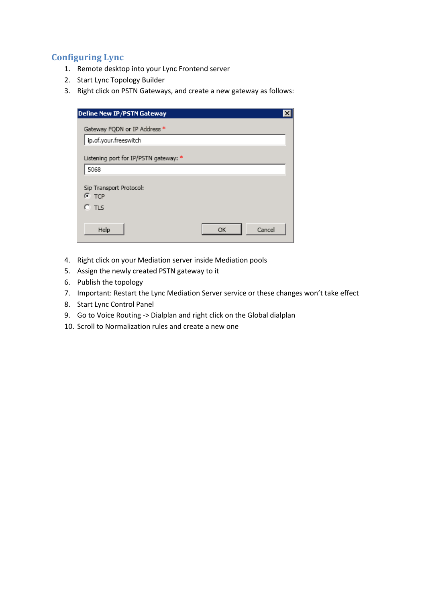## **Configuring Lync**

- 1. Remote desktop into your Lync Frontend server
- 2. Start Lync Topology Builder
- 3. Right click on PSTN Gateways, and create a new gateway as follows:

| Define New IP/PSTN Gateway                        |              |
|---------------------------------------------------|--------------|
| Gateway FQDN or IP Address *                      |              |
| ip.of.your.freeswitch                             |              |
| Listening port for IP/PSTN gateway: *             |              |
| 5068                                              |              |
| Sip Transport Protocol:<br>$\bullet$ TCP<br>0 tls |              |
| Help                                              | Cancel<br>ОК |

- 4. Right click on your Mediation server inside Mediation pools
- 5. Assign the newly created PSTN gateway to it
- 6. Publish the topology
- 7. Important: Restart the Lync Mediation Server service or these changes won't take effect
- 8. Start Lync Control Panel
- 9. Go to Voice Routing -> Dialplan and right click on the Global dialplan
- 10. Scroll to Normalization rules and create a new one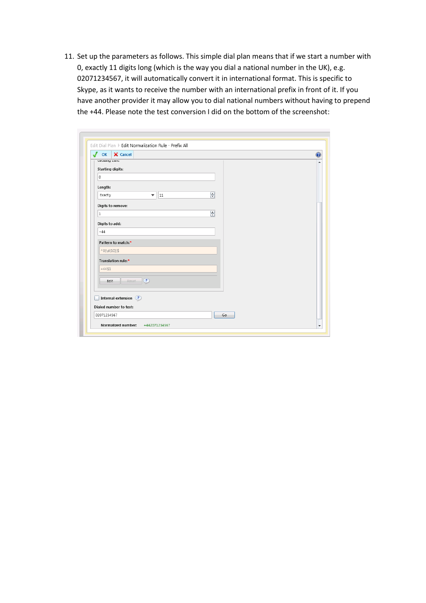11. Set up the parameters as follows. This simple dial plan means that if we start a number with 0, exactly 11 digits long (which is the way you dial a national number in the UK), e.g. 02071234567, it will automatically convert it in international format. This is specific to Skype, as it wants to receive the number with an international prefix in front of it. If you have another provider it may allow you to dial national numbers without having to prepend the +44. Please note the test conversion I did on the bottom of the screenshot:

| X Cancel<br>$\sqrt{2}$<br>OK |    |  |
|------------------------------|----|--|
| unung cuna                   |    |  |
| <b>Starting digits:</b>      |    |  |
| 0                            |    |  |
| Length:                      |    |  |
| Exactly<br> 11<br>▼          | 9  |  |
| Digits to remove:            |    |  |
| $\mathbf{1}$                 | 믕  |  |
| Digits to add:               |    |  |
| $+44$                        |    |  |
|                              |    |  |
| Pattern to match:*           |    |  |
| $^0(0(10))$ \$               |    |  |
| Translation rule:*           |    |  |
| $+44$1$                      |    |  |
| $Reset$ (?)<br>Edit          |    |  |
|                              |    |  |
| Internal extension (?)       |    |  |
| Dialed number to test:       |    |  |
| 02071234567                  | Go |  |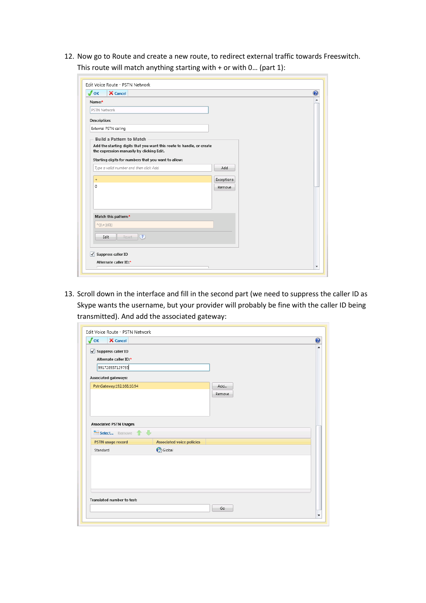12. Now go to Route and create a new route, to redirect external traffic towards Freeswitch. This route will match anything starting with  $+$  or with 0... (part 1):

| $\sqrt{\phantom{a}}$ OK<br>X Cancel                                                                                                                                                                          |            |  |
|--------------------------------------------------------------------------------------------------------------------------------------------------------------------------------------------------------------|------------|--|
| Name:*                                                                                                                                                                                                       |            |  |
| PSTN Network                                                                                                                                                                                                 |            |  |
| Description:                                                                                                                                                                                                 |            |  |
| External PSTN calling                                                                                                                                                                                        |            |  |
| <b>Build a Pattern to Match</b><br>Add the starting digits that you want this route to handle, or create<br>the expression manually by clicking Edit.<br>Starting digits for numbers that you want to allow: |            |  |
| Type a valid number and then click Add.                                                                                                                                                                      | Add        |  |
| $\pm$                                                                                                                                                                                                        | Exceptions |  |
| 0                                                                                                                                                                                                            | Remove     |  |
|                                                                                                                                                                                                              |            |  |
|                                                                                                                                                                                                              |            |  |
|                                                                                                                                                                                                              |            |  |
|                                                                                                                                                                                                              |            |  |
| Match this pattern:*<br>$\wedge ((\wedge +)(0))$                                                                                                                                                             |            |  |
| Reset<br>$\overline{?}$<br>Edit                                                                                                                                                                              |            |  |

13. Scroll down in the interface and fill in the second part (we need to suppress the caller ID as Skype wants the username, but your provider will probably be fine with the caller ID being transmitted). And add the associated gateway:

| √ Suppress caller ID          |                                  |        |  |
|-------------------------------|----------------------------------|--------|--|
| Alternate caller ID:*         |                                  |        |  |
| 991728937129793               |                                  |        |  |
| Associated gateways:          |                                  |        |  |
| PstnGateway:192.168.10.94     |                                  | Add    |  |
|                               |                                  | Remove |  |
|                               |                                  |        |  |
|                               |                                  |        |  |
|                               |                                  |        |  |
| <b>Associated PSTN Usages</b> |                                  |        |  |
|                               |                                  |        |  |
|                               |                                  |        |  |
| <b>PSTN usage record</b>      | <b>Associated voice policies</b> |        |  |
| Select Remove 1<br>Standard   | $\bigodot$ Global                |        |  |
|                               |                                  |        |  |
|                               |                                  |        |  |
|                               |                                  |        |  |
|                               |                                  |        |  |
|                               |                                  |        |  |
| Translated number to test:    |                                  |        |  |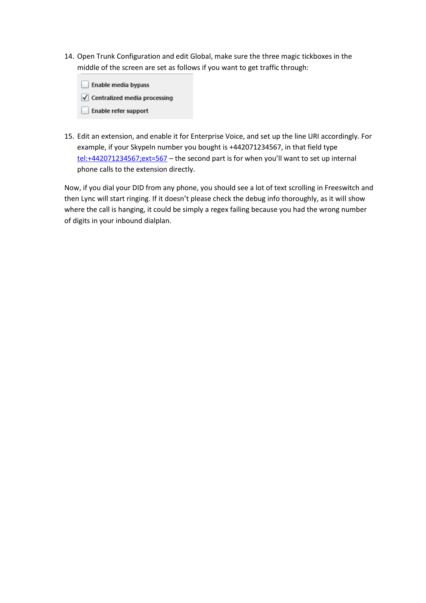- 14. Open Trunk Configuration and edit Global, make sure the three magic tickboxes in the middle of the screen are set as follows if you want to get traffic through:
	- Enable media bypass  $\sqrt{\phantom{a}}$  Centralized media processing Enable refer support
- 15. Edit an extension, and enable it for Enterprise Voice, and set up the line URI accordingly. For example, if your SkypeIn number you bought is +442071234567, in that field type <tel:+442071234567;ext=567> – the second part is for when you'll want to set up internal phone calls to the extension directly.

Now, if you dial your DID from any phone, you should see a lot of text scrolling in Freeswitch and then Lync will start ringing. If it doesn't please check the debug info thoroughly, as it will show where the call is hanging, it could be simply a regex failing because you had the wrong number of digits in your inbound dialplan.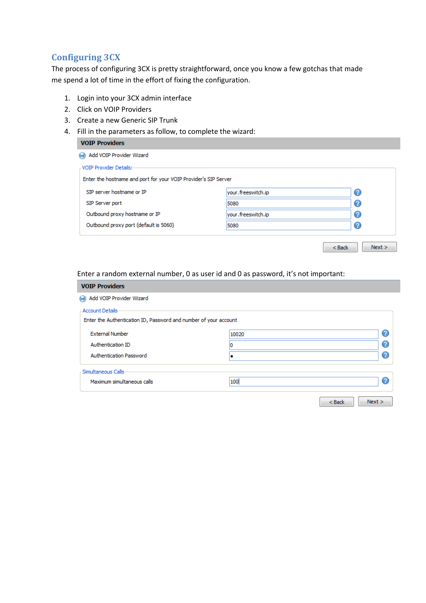## **Configuring 3CX**

The process of configuring 3CX is pretty straightforward, once you know a few gotchas that made me spend a lot of time in the effort of fixing the configuration.

- 1. Login into your 3CX admin interface
- 2. Click on VOIP Providers
- 3. Create a new Generic SIP Trunk
- 4. Fill in the parameters as follow, to complete the wizard:

#### **VOIP Providers**

| Add VOIP Provider Wizard                                        |                    |                    |
|-----------------------------------------------------------------|--------------------|--------------------|
| VOIP Provider Details:-                                         |                    |                    |
| Enter the hostname and port for your VOIP Provider's SIP Server |                    |                    |
| SIP server hostname or IP                                       | your.freeswitch.ip | Ø                  |
| SIP Server port                                                 | 5080               | 2                  |
| Outbound proxy hostname or IP                                   | your.freeswitch.ip | Q                  |
| Outbound proxy port (default is 5060)                           | 5080               | Ø                  |
|                                                                 |                    | Next ><br>$<$ Back |

Enter a random external number, 0 as user id and 0 as password, it's not important:

| <b>VOIP Providers</b>                                            |       |                  |
|------------------------------------------------------------------|-------|------------------|
| Add VOIP Provider Wizard<br>64)                                  |       |                  |
| <b>Account Details</b>                                           |       |                  |
| Enter the Authentication ID, Password and number of your account |       |                  |
| <b>External Number</b>                                           | 10020 | ℯ                |
| Authentication ID                                                |       | ℯ                |
| <b>Authentication Password</b>                                   |       | ℯ                |
| Simultaneous Calls-                                              |       |                  |
| Maximum simultaneous calls                                       | 100   | ℯ                |
|                                                                  |       |                  |
|                                                                  |       | Next ><br>$Back$ |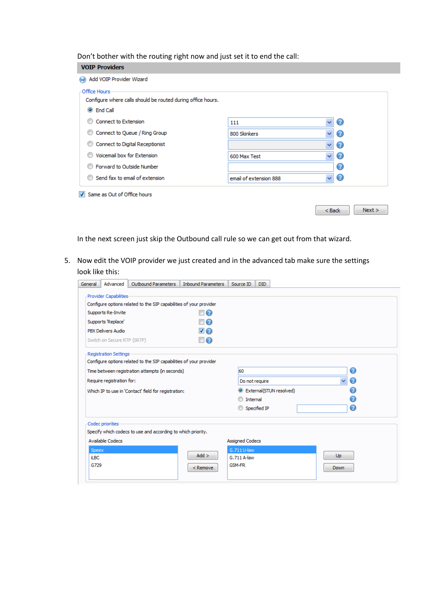Don't bother with the routing right now and just set it to end the call:

| <b>VOIP Providers</b>                                                                             |                        |                    |
|---------------------------------------------------------------------------------------------------|------------------------|--------------------|
| Add VOIP Provider Wizard                                                                          |                        |                    |
| Office Hours-<br>Configure where calls should be routed during office hours.<br><b>O</b> End Call |                        |                    |
| Connect to Extension                                                                              | 111                    | v<br>2             |
| Connect to Queue / Ring Group                                                                     | v<br>800 Skinkers      | Ø                  |
| Connect to Digital Receptionist                                                                   | v                      | ?                  |
| Voicemail box for Extension                                                                       | v<br>600 Max Test      | 2                  |
| Forward to Outside Number                                                                         |                        | Ω                  |
| Send fax to email of extension                                                                    | email of extension 888 | Ø<br>v             |
| V Same as Out of Office hours                                                                     |                        | Next ><br>$<$ Back |

In the next screen just skip the Outbound call rule so we can get out from that wizard.

5. Now edit the VOIP provider we just created and in the advanced tab make sure the settings look like this:

| General                                         | Advanced                      | Outbound Parameters                                                | <b>Inbound Parameters</b> | Source ID              | DID.                    |                   |  |
|-------------------------------------------------|-------------------------------|--------------------------------------------------------------------|---------------------------|------------------------|-------------------------|-------------------|--|
|                                                 | Provider Capabilities-        |                                                                    |                           |                        |                         |                   |  |
|                                                 |                               | Configure options related to the SIP capabilities of your provider |                           |                        |                         |                   |  |
|                                                 | Supports Re-Invite            |                                                                    | $\Box$ $Q$                |                        |                         |                   |  |
|                                                 | Supports 'Replace'            |                                                                    | $\Box$ $\Omega$           |                        |                         |                   |  |
|                                                 | <b>PBX Delivers Audio</b>     |                                                                    | $\blacktriangledown$      |                        |                         |                   |  |
|                                                 | Switch on Secure RTP (SRTP)   |                                                                    | $\square$                 |                        |                         |                   |  |
|                                                 | <b>Registration Settings-</b> |                                                                    |                           |                        |                         |                   |  |
|                                                 |                               | Configure options related to the SIP capabilities of your provider |                           |                        |                         |                   |  |
| Time between registration attempts (in seconds) |                               |                                                                    |                           | 60                     |                         | の                 |  |
|                                                 | Require registration for:     |                                                                    |                           | Do not require         |                         | $\checkmark$<br>ဓ |  |
|                                                 |                               | Which IP to use in 'Contact' field for registration:               |                           |                        | External(STUN resolved) | Ω                 |  |
|                                                 |                               |                                                                    |                           | Internal<br>00         |                         |                   |  |
|                                                 |                               |                                                                    |                           | Specified IP           |                         | ဓ                 |  |
|                                                 | Codec priorities              |                                                                    |                           |                        |                         |                   |  |
|                                                 |                               | Specify which codecs to use and according to which priority.       |                           |                        |                         |                   |  |
|                                                 | <b>Available Codecs</b>       |                                                                    |                           | <b>Assigned Codecs</b> |                         |                   |  |
| <b>Speex</b>                                    |                               |                                                                    |                           | G.711 U-law            |                         |                   |  |
| <b>iLBC</b>                                     |                               |                                                                    | $Add$ >                   | G.711 A-law            |                         | Up                |  |
| G729                                            |                               |                                                                    | $<$ Remove                | <b>GSM-FR</b>          |                         | <b>Down</b>       |  |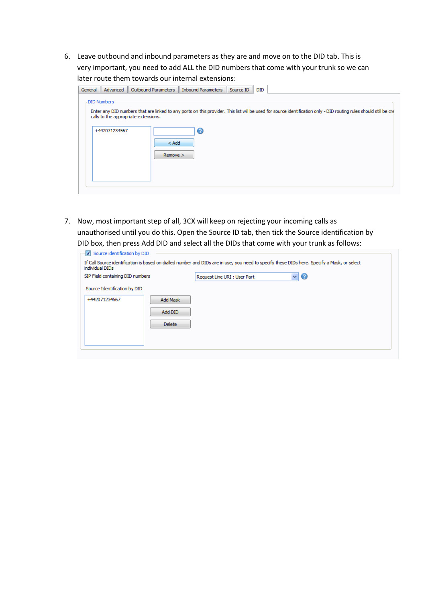6. Leave outbound and inbound parameters as they are and move on to the DID tab. This is very important, you need to add ALL the DID numbers that come with your trunk so we can later route them towards our internal extensions:

| General | Advanced                      | Outbound Parameters                  | <b>Inbound Parameters</b> | Source ID<br><b>DID</b> |                                                                                                                                                                    |
|---------|-------------------------------|--------------------------------------|---------------------------|-------------------------|--------------------------------------------------------------------------------------------------------------------------------------------------------------------|
|         | DID Numbers-<br>+442071234567 | calls to the appropriate extensions. | Ø                         |                         | Enter any DID numbers that are linked to any ports on this provider. This list will be used for source identification only - DID routing rules should still be cre |
|         |                               | $<$ Add<br>Remove                    |                           |                         |                                                                                                                                                                    |

7. Now, most important step of all, 3CX will keep on rejecting your incoming calls as unauthorised until you do this. Open the Source ID tab, then tick the Source identification by DID box, then press Add DID and select all the DIDs that come with your trunk as follows:

| Source identification by DID<br>individual DIDs |               |                              | If Call Source identification is based on dialled number and DIDs are in use, you need to specify these DIDs here. Specify a Mask, or select |
|-------------------------------------------------|---------------|------------------------------|----------------------------------------------------------------------------------------------------------------------------------------------|
| SIP Field containing DID numbers                |               | Request Line URI : User Part | 3                                                                                                                                            |
| Source Identification by DID                    |               |                              |                                                                                                                                              |
| +442071234567                                   | Add Mask      |                              |                                                                                                                                              |
|                                                 | Add DID       |                              |                                                                                                                                              |
|                                                 | <b>Delete</b> |                              |                                                                                                                                              |
|                                                 |               |                              |                                                                                                                                              |
|                                                 |               |                              |                                                                                                                                              |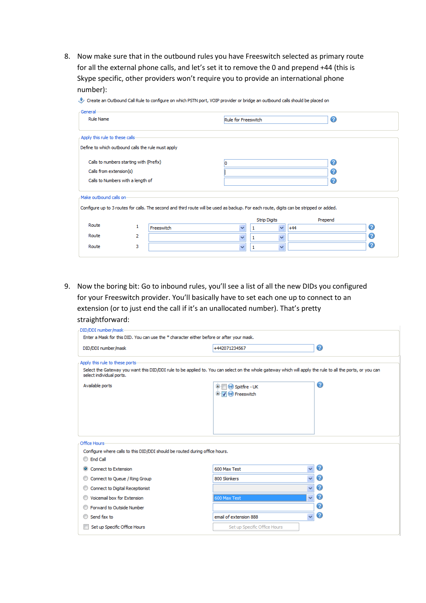8. Now make sure that in the outbound rules you have Freeswitch selected as primary route for all the external phone calls, and let's set it to remove the 0 and prepend +44 (this is Skype specific, other providers won't require you to provide an international phone number):

| Create an Outbound Call Rule to configure on which PSTN port, VOIP provider or bridge an outbound calls should be placed on |  |
|-----------------------------------------------------------------------------------------------------------------------------|--|
|-----------------------------------------------------------------------------------------------------------------------------|--|

| General<br><b>Rule Name</b>                        |   |            | Rule for Freeswitch                                                                                                                     |                     | ⊘       |   |
|----------------------------------------------------|---|------------|-----------------------------------------------------------------------------------------------------------------------------------------|---------------------|---------|---|
| Apply this rule to these calls-                    |   |            |                                                                                                                                         |                     |         |   |
| Define to which outbound calls the rule must apply |   |            |                                                                                                                                         |                     |         |   |
| Calls to numbers starting with (Prefix)            |   |            |                                                                                                                                         |                     |         |   |
| Calls from extension(s)                            |   |            |                                                                                                                                         |                     |         |   |
| Calls to Numbers with a length of                  |   |            |                                                                                                                                         | ဓ                   |         |   |
| Make outbound calls on-                            |   |            |                                                                                                                                         |                     |         |   |
|                                                    |   |            | Configure up to 3 routes for calls. The second and third route will be used as backup. For each route, digits can be stripped or added. |                     |         |   |
|                                                    |   |            |                                                                                                                                         | <b>Strip Digits</b> | Prepend |   |
| Route                                              | 1 | Freeswitch | $\checkmark$                                                                                                                            | ×.                  | $+44$   | ◙ |
| Route                                              | 2 |            | $\ddotmark$                                                                                                                             | $\checkmark$        |         | ℯ |
| Route                                              | з |            | $\ddotmark$                                                                                                                             | $\ddotmark$<br>1    |         | ℯ |
|                                                    |   |            |                                                                                                                                         |                     |         |   |

9. Now the boring bit: Go to inbound rules, you'll see a list of all the new DIDs you configured for your Freeswitch provider. You'll basically have to set each one up to connect to an extension (or to just end the call if it's an unallocated number). That's pretty straightforward:

| Enter a Mask for this DID. You can use the * character either before or after your mask.<br>◉<br>DID/DDI number/mask<br>+442071234567<br>Apply this rule to these ports-<br>Select the Gateway you want this DID/DDI rule to be applied to. You can select on the whole gateway which will apply the rule to all the ports, or you can<br>select individual ports.<br>0<br>Available ports<br>Spitfire - UK<br>œH<br>$\blacksquare$ $\blacksquare$ Freeswitch<br>Office Hours<br>Configure where calls to this DID/DDI should be routed during office hours.<br><b>End Call</b><br>Ø<br>$\ddotmark$<br>600 Max Test<br>Connect to Extension<br>$\odot$<br>$\ddotmark$<br>Ø<br>800 Skinkers<br>Connect to Queue / Ring Group<br>0<br>Connect to Digital Receptionist<br>v<br>◉<br>$\checkmark$<br>Voicemail box for Extension<br>600 Max Test<br>ဓ<br>Forward to Outside Number<br>◉<br>$\overline{\mathbf{v}}$<br>email of extension 888<br>Send fax to<br>Set up Specific Office Hours<br>Set up Specific Office Hours | DID/DDI number/mask- |  |
|-------------------------------------------------------------------------------------------------------------------------------------------------------------------------------------------------------------------------------------------------------------------------------------------------------------------------------------------------------------------------------------------------------------------------------------------------------------------------------------------------------------------------------------------------------------------------------------------------------------------------------------------------------------------------------------------------------------------------------------------------------------------------------------------------------------------------------------------------------------------------------------------------------------------------------------------------------------------------------------------------------------------------|----------------------|--|
|                                                                                                                                                                                                                                                                                                                                                                                                                                                                                                                                                                                                                                                                                                                                                                                                                                                                                                                                                                                                                         |                      |  |
|                                                                                                                                                                                                                                                                                                                                                                                                                                                                                                                                                                                                                                                                                                                                                                                                                                                                                                                                                                                                                         |                      |  |
|                                                                                                                                                                                                                                                                                                                                                                                                                                                                                                                                                                                                                                                                                                                                                                                                                                                                                                                                                                                                                         |                      |  |
|                                                                                                                                                                                                                                                                                                                                                                                                                                                                                                                                                                                                                                                                                                                                                                                                                                                                                                                                                                                                                         |                      |  |
|                                                                                                                                                                                                                                                                                                                                                                                                                                                                                                                                                                                                                                                                                                                                                                                                                                                                                                                                                                                                                         |                      |  |
|                                                                                                                                                                                                                                                                                                                                                                                                                                                                                                                                                                                                                                                                                                                                                                                                                                                                                                                                                                                                                         |                      |  |
|                                                                                                                                                                                                                                                                                                                                                                                                                                                                                                                                                                                                                                                                                                                                                                                                                                                                                                                                                                                                                         |                      |  |
|                                                                                                                                                                                                                                                                                                                                                                                                                                                                                                                                                                                                                                                                                                                                                                                                                                                                                                                                                                                                                         |                      |  |
|                                                                                                                                                                                                                                                                                                                                                                                                                                                                                                                                                                                                                                                                                                                                                                                                                                                                                                                                                                                                                         |                      |  |
|                                                                                                                                                                                                                                                                                                                                                                                                                                                                                                                                                                                                                                                                                                                                                                                                                                                                                                                                                                                                                         |                      |  |
|                                                                                                                                                                                                                                                                                                                                                                                                                                                                                                                                                                                                                                                                                                                                                                                                                                                                                                                                                                                                                         |                      |  |
|                                                                                                                                                                                                                                                                                                                                                                                                                                                                                                                                                                                                                                                                                                                                                                                                                                                                                                                                                                                                                         |                      |  |
|                                                                                                                                                                                                                                                                                                                                                                                                                                                                                                                                                                                                                                                                                                                                                                                                                                                                                                                                                                                                                         |                      |  |
|                                                                                                                                                                                                                                                                                                                                                                                                                                                                                                                                                                                                                                                                                                                                                                                                                                                                                                                                                                                                                         |                      |  |
|                                                                                                                                                                                                                                                                                                                                                                                                                                                                                                                                                                                                                                                                                                                                                                                                                                                                                                                                                                                                                         |                      |  |